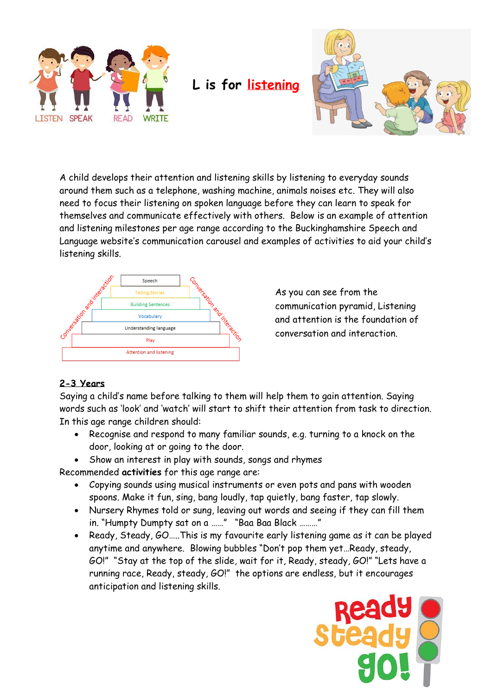

**L is for listening**



A child develops their attention and listening skills by listening to everyday sounds around them such as a telephone, washing machine, animals noises etc. They will also need to focus their listening on spoken language before they can learn to speak for themselves and communicate effectively with others. Below is an example of attention and listening milestones per age range according to the Buckinghamshire Speech and Language website's communication carousel and examples of activities to aid your child's listening skills.



As you can see from the communication pyramid, Listening and attention is the foundation of conversation and interaction.

## **2-3 Years**

Saying a child's name before talking to them will help them to gain attention. Saying words such as 'look' and 'watch' will start to shift their attention from task to direction. In this age range children should:

- Recognise and respond to many familiar sounds, e.g. turning to a knock on the door, looking at or going to the door.
- Show an interest in play with sounds, songs and rhymes

Recommended **activities** for this age range are:

- Copying sounds using musical instruments or even pots and pans with wooden spoons. Make it fun, sing, bang loudly, tap quietly, bang faster, tap slowly.
- Nursery Rhymes told or sung, leaving out words and seeing if they can fill them in. "Humpty Dumpty sat on a ……" "Baa Baa Black ………"
- Ready, Steady, GO…..This is my favourite early listening game as it can be played anytime and anywhere. Blowing bubbles "Don't pop them yet…Ready, steady, GO!" "Stay at the top of the slide, wait for it, Ready, steady, GO!" "Lets have a running race, Ready, steady, GO!" the options are endless, but it encourages anticipation and listening skills.